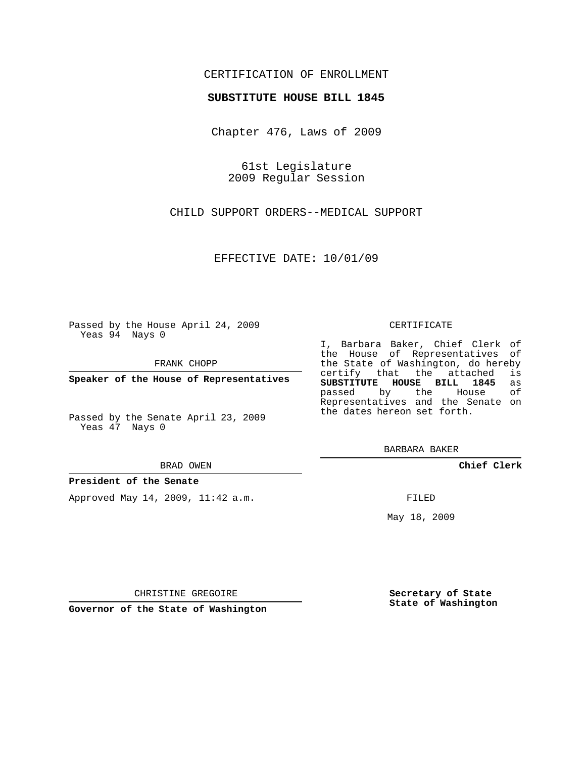## CERTIFICATION OF ENROLLMENT

### **SUBSTITUTE HOUSE BILL 1845**

Chapter 476, Laws of 2009

61st Legislature 2009 Regular Session

CHILD SUPPORT ORDERS--MEDICAL SUPPORT

EFFECTIVE DATE: 10/01/09

Passed by the House April 24, 2009 Yeas 94 Nays 0

FRANK CHOPP

**Speaker of the House of Representatives**

Passed by the Senate April 23, 2009 Yeas 47 Nays 0

#### BRAD OWEN

#### **President of the Senate**

Approved May 14, 2009, 11:42 a.m.

#### CERTIFICATE

I, Barbara Baker, Chief Clerk of the House of Representatives of the State of Washington, do hereby<br>certify that the attached is certify that the attached **SUBSTITUTE HOUSE BILL 1845** as passed by the Representatives and the Senate on the dates hereon set forth.

BARBARA BAKER

**Chief Clerk**

FILED

May 18, 2009

**Secretary of State State of Washington**

CHRISTINE GREGOIRE

**Governor of the State of Washington**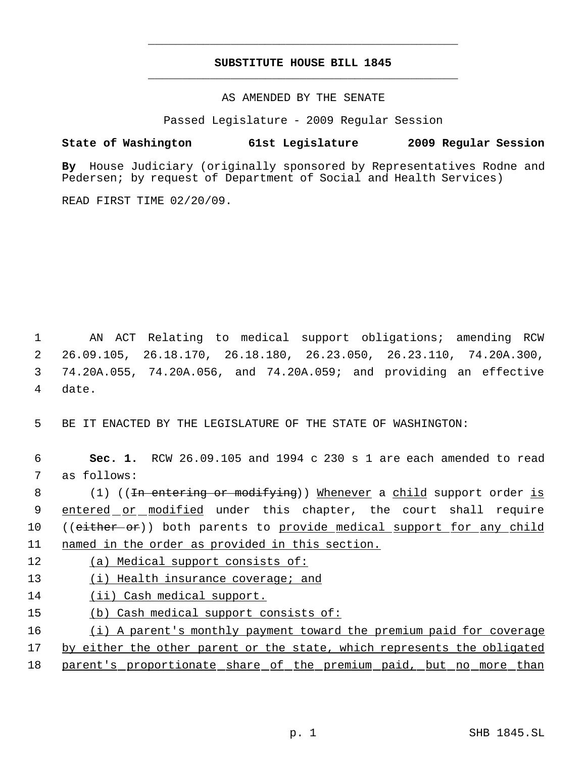# **SUBSTITUTE HOUSE BILL 1845** \_\_\_\_\_\_\_\_\_\_\_\_\_\_\_\_\_\_\_\_\_\_\_\_\_\_\_\_\_\_\_\_\_\_\_\_\_\_\_\_\_\_\_\_\_

\_\_\_\_\_\_\_\_\_\_\_\_\_\_\_\_\_\_\_\_\_\_\_\_\_\_\_\_\_\_\_\_\_\_\_\_\_\_\_\_\_\_\_\_\_

AS AMENDED BY THE SENATE

Passed Legislature - 2009 Regular Session

## **State of Washington 61st Legislature 2009 Regular Session**

**By** House Judiciary (originally sponsored by Representatives Rodne and Pedersen; by request of Department of Social and Health Services)

READ FIRST TIME 02/20/09.

 AN ACT Relating to medical support obligations; amending RCW 26.09.105, 26.18.170, 26.18.180, 26.23.050, 26.23.110, 74.20A.300, 74.20A.055, 74.20A.056, and 74.20A.059; and providing an effective 4 date.

5 BE IT ENACTED BY THE LEGISLATURE OF THE STATE OF WASHINGTON:

 6 **Sec. 1.** RCW 26.09.105 and 1994 c 230 s 1 are each amended to read 7 as follows:

8 (1) ((<del>In entering or modifying</del>)) Whenever a child support order is 9 entered or modified under this chapter, the court shall require 10 ((either or)) both parents to provide medical support for any child 11 named in the order as provided in this section.

12 (a) Medical support consists of:

- 13 (i) Health insurance coverage; and
- 14 (ii) Cash medical support.
- 15 (b) Cash medical support consists of:

16 (i) A parent's monthly payment toward the premium paid for coverage

17 by either the other parent or the state, which represents the obligated

18 parent's proportionate share of the premium paid, but no more than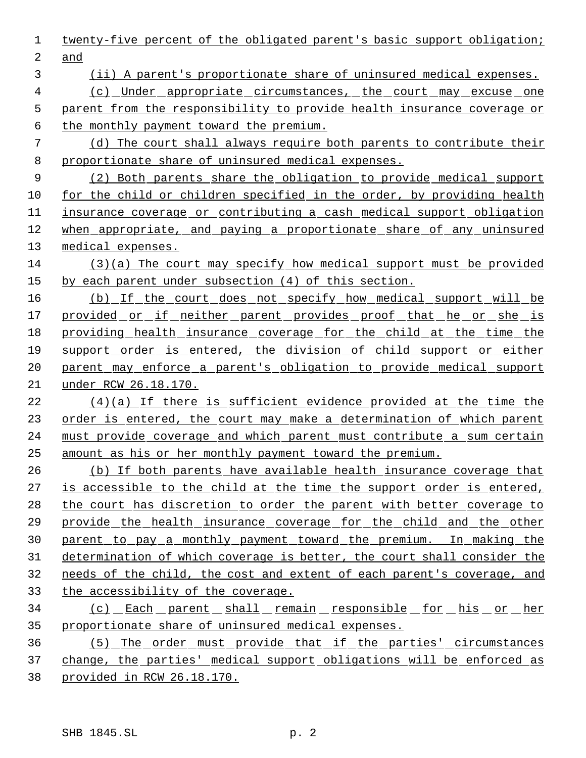| 1              | twenty-five percent of the obligated parent's basic support obligation;  |
|----------------|--------------------------------------------------------------------------|
| $\overline{2}$ | and                                                                      |
| 3              | (ii) A parent's proportionate share of uninsured medical expenses.       |
| 4              | (c) Under appropriate circumstances, the court may excuse one            |
| 5              | parent from the responsibility to provide health insurance coverage or   |
| 6              | the monthly payment toward the premium.                                  |
| 7              | (d) The court shall always require both parents to contribute their      |
| 8              | proportionate share of uninsured medical expenses.                       |
| 9              | (2) Both parents share the obligation to provide medical support         |
| 10             | for the child or children specified in the order, by providing health    |
| 11             | insurance coverage or contributing a cash medical support obligation     |
| 12             | when appropriate, and paying a proportionate share of any uninsured      |
| 13             | medical expenses.                                                        |
| 14             | $(3)(a)$ The court may specify how medical support must be provided      |
| 15             | by each parent under subsection (4) of this section.                     |
| 16             | (b) If the court does not specify how medical support will be            |
| 17             | provided or if neither parent provides proof that he or she is           |
| 18             | providing health insurance coverage for the child at the time the        |
| 19             | support order is entered, the division of child support or either        |
| 20             | parent may enforce a parent's obligation to provide medical support      |
| 21             | under RCW 26.18.170.                                                     |
| 22             | (4)(a) If there is sufficient evidence provided at the time the          |
| 23             | order is entered, the court may make a determination of which parent     |
| 24             | must provide coverage and which parent must contribute a sum certain     |
| 25             | amount as his or her monthly payment toward the premium.                 |
| 26             | (b) If both parents have available health insurance coverage that        |
| 27             | is accessible to the child at the time the support order is entered,     |
| 28             | the court has discretion to order the parent with better coverage to     |
| 29             | <u>provide the health insurance coverage for the child and the other</u> |
| 30             | parent to pay a monthly payment toward the premium. In making the        |
| 31             | determination of which coverage is better, the court shall consider the  |
| 32             | needs of the child, the cost and extent of each parent's coverage, and   |
| 33             | the accessibility of the coverage.                                       |
| 34             | <u>(c) _Each _parent _shall _remain _responsible _for _his _or _her</u>  |
| 35             | proportionate share of uninsured medical expenses.                       |
| 36             | (5) The order must provide that if the parties' circumstances            |
| 37             | change, the parties' medical support obligations will be enforced as     |
| 38             | <u>provided in RCW 26.18.170.</u>                                        |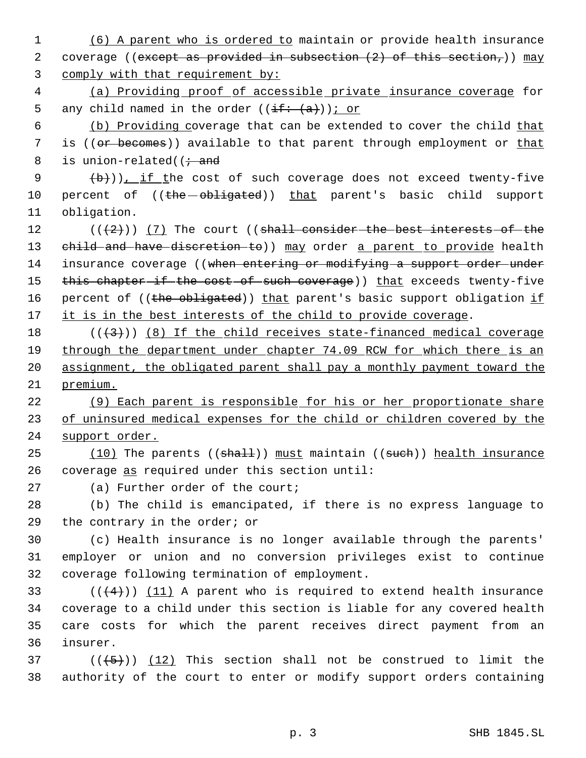1 (6) A parent who is ordered to maintain or provide health insurance 2 coverage ((except as provided in subsection  $(2)$  of this section,)) may 3 comply with that requirement by: 4 (a) Providing proof of accessible private insurance coverage for 5 any child named in the order  $((\frac{if:}{a}))$  or 6 (b) Providing coverage that can be extended to cover the child that 7 is ((or becomes)) available to that parent through employment or that 8 is union-related( $\ddot{i}$  and 9  $(\frac{b}{b})$ ), if the cost of such coverage does not exceed twenty-five 10 percent of ((the - obligated)) that parent's basic child support 11 obligation. 12  $((+2)^i)$   $(7)$  The court ((shall consider the best interests of the 13 child and have discretion to)) may order a parent to provide health 14 insurance coverage ((when entering or modifying a support order under 15 this chapter if the cost of such coverage)) that exceeds twenty-five 16 percent of ((the obligated)) that parent's basic support obligation if 17 it is in the best interests of the child to provide coverage. 18  $((+3))$  (8) If the child receives state-financed medical coverage 19 through the department under chapter 74.09 RCW for which there is an 20 assignment, the obligated parent shall pay a monthly payment toward the 21 premium. 22 (9) Each parent is responsible for his or her proportionate share 23 of uninsured medical expenses for the child or children covered by the 24 support order. 25 (10) The parents ((shall)) must maintain ((such)) health insurance 26 coverage as required under this section until: 27 (a) Further order of the court; 28 (b) The child is emancipated, if there is no express language to 29 the contrary in the order; or 30 (c) Health insurance is no longer available through the parents' 31 employer or union and no conversion privileges exist to continue 32 coverage following termination of employment. 33  $((4+))$   $(11)$  A parent who is required to extend health insurance 34 coverage to a child under this section is liable for any covered health 35 care costs for which the parent receives direct payment from an 36 insurer. 37 ( $(\overline{5})$ ) (12) This section shall not be construed to limit the 38 authority of the court to enter or modify support orders containing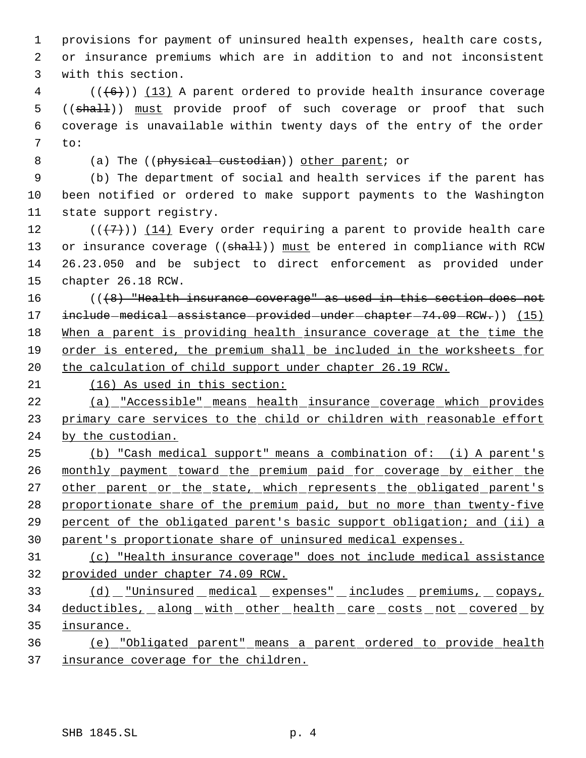provisions for payment of uninsured health expenses, health care costs, or insurance premiums which are in addition to and not inconsistent with this section.

 (( $\left(\frac{6}{6}\right)$ ) (13) A parent ordered to provide health insurance coverage 5 ((shall)) must provide proof of such coverage or proof that such coverage is unavailable within twenty days of the entry of the order to:

8 (a) The ((physical custodian)) other parent; or

 (b) The department of social and health services if the parent has been notified or ordered to make support payments to the Washington state support registry.

12 ( $(\overline{+7})$ ) (14) Every order requiring a parent to provide health care 13 or insurance coverage ((shall)) must be entered in compliance with RCW 26.23.050 and be subject to direct enforcement as provided under chapter 26.18 RCW.

16 (((8) "Health insurance coverage" as used in this section does not 17 include medical assistance provided under chapter - 74.09 - RCW.) (15) 18 When a parent is providing health insurance coverage at the time the order is entered, the premium shall be included in the worksheets for 20 the calculation of child support under chapter 26.19 RCW.

(16) As used in this section:

 (a) "Accessible" means health insurance coverage which provides 23 primary care services to the child or children with reasonable effort by the custodian.

 (b) "Cash medical support" means a combination of: (i) A parent's 26 monthly payment toward the premium paid for coverage by either the 27 other parent or the state, which represents the obligated parent's proportionate share of the premium paid, but no more than twenty-five percent of the obligated parent's basic support obligation; and (ii) a parent's proportionate share of uninsured medical expenses.

 (c) "Health insurance coverage" does not include medical assistance provided under chapter 74.09 RCW.

 (d) "Uninsured medical expenses" includes premiums, copays, 34 deductibles, along with other health care costs not covered by insurance.

 (e) "Obligated parent" means a parent ordered to provide health insurance coverage for the children.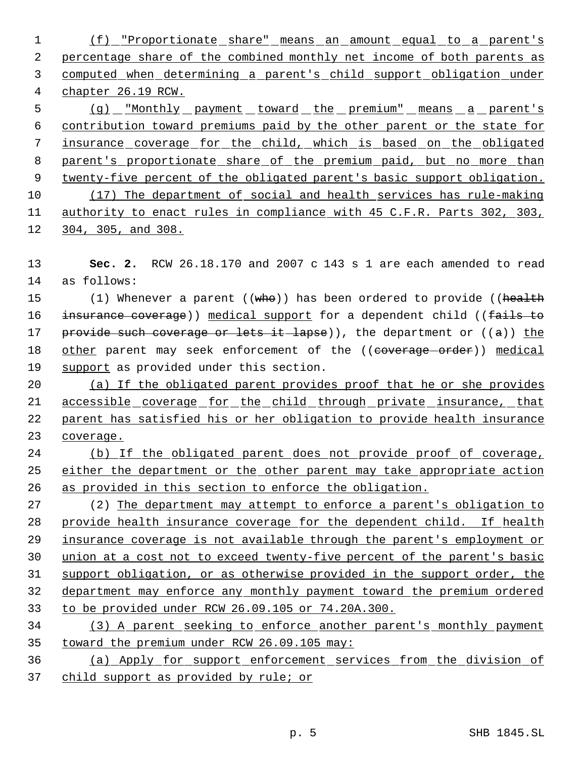(f) "Proportionate share" means an amount equal to a parent's percentage share of the combined monthly net income of both parents as computed when determining a parent's child support obligation under chapter 26.19 RCW.

5 (g) "Monthly payment toward the premium" means a parent's contribution toward premiums paid by the other parent or the state for insurance coverage for the child, which is based on the obligated parent's proportionate share of the premium paid, but no more than 9 twenty-five percent of the obligated parent's basic support obligation. (17) The department of social and health services has rule-making authority to enact rules in compliance with 45 C.F.R. Parts 302, 303, 304, 305, and 308.

 **Sec. 2.** RCW 26.18.170 and 2007 c 143 s 1 are each amended to read as follows:

15 (1) Whenever a parent ((who)) has been ordered to provide ((health 16 insurance coverage)) medical support for a dependent child ((fails to 17 provide such coverage or lets it lapse), the department or  $((a))$  the 18 other parent may seek enforcement of the ((coverage order)) medical 19 support as provided under this section.

 (a) If the obligated parent provides proof that he or she provides accessible coverage for the child through private insurance, that parent has satisfied his or her obligation to provide health insurance coverage.

 (b) If the obligated parent does not provide proof of coverage, 25 either the department or the other parent may take appropriate action as provided in this section to enforce the obligation.

 (2) The department may attempt to enforce a parent's obligation to provide health insurance coverage for the dependent child. If health insurance coverage is not available through the parent's employment or union at a cost not to exceed twenty-five percent of the parent's basic support obligation, or as otherwise provided in the support order, the department may enforce any monthly payment toward the premium ordered to be provided under RCW 26.09.105 or 74.20A.300.

 (3) A parent seeking to enforce another parent's monthly payment toward the premium under RCW 26.09.105 may:

 (a) Apply for support enforcement services from the division of child support as provided by rule; or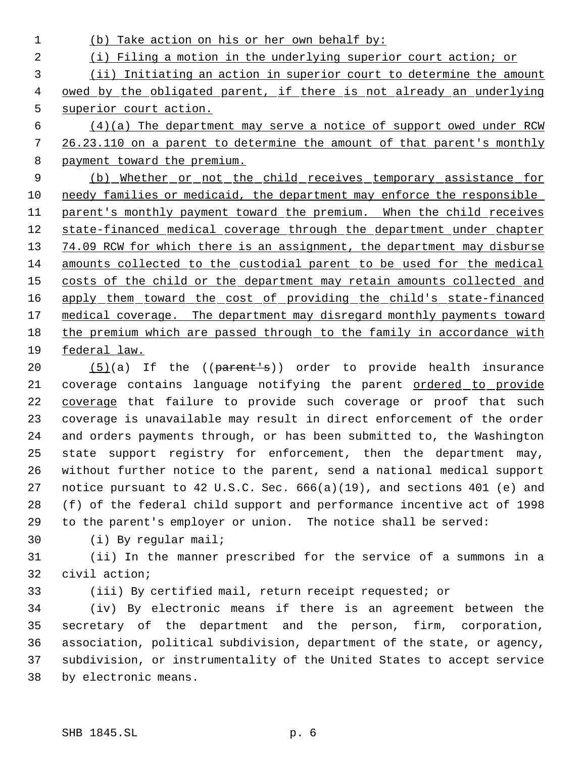(b) Take action on his or her own behalf by: (i) Filing a motion in the underlying superior court action; or (ii) Initiating an action in superior court to determine the amount 4 owed by the obligated parent, if there is not already an underlying superior court action.  $(4)(a)$  The department may serve a notice of support owed under RCW 26.23.110 on a parent to determine the amount of that parent's monthly 8 payment toward the premium. (b) Whether or not the child receives temporary assistance for 10 needy families or medicaid, the department may enforce the responsible 11 parent's monthly payment toward the premium. When the child receives 12 state-financed medical coverage through the department under chapter 13 74.09 RCW for which there is an assignment, the department may disburse amounts collected to the custodial parent to be used for the medical 15 costs of the child or the department may retain amounts collected and 16 apply them toward the cost of providing the child's state-financed 17 medical coverage. The department may disregard monthly payments toward the premium which are passed through to the family in accordance with federal law.

20 (5)(a) If the ((parent's)) order to provide health insurance 21 coverage contains language notifying the parent ordered to provide 22 coverage that failure to provide such coverage or proof that such coverage is unavailable may result in direct enforcement of the order and orders payments through, or has been submitted to, the Washington state support registry for enforcement, then the department may, without further notice to the parent, send a national medical support notice pursuant to 42 U.S.C. Sec. 666(a)(19), and sections 401 (e) and (f) of the federal child support and performance incentive act of 1998 to the parent's employer or union. The notice shall be served:

(i) By regular mail;

 (ii) In the manner prescribed for the service of a summons in a civil action;

(iii) By certified mail, return receipt requested; or

 (iv) By electronic means if there is an agreement between the secretary of the department and the person, firm, corporation, association, political subdivision, department of the state, or agency, subdivision, or instrumentality of the United States to accept service by electronic means.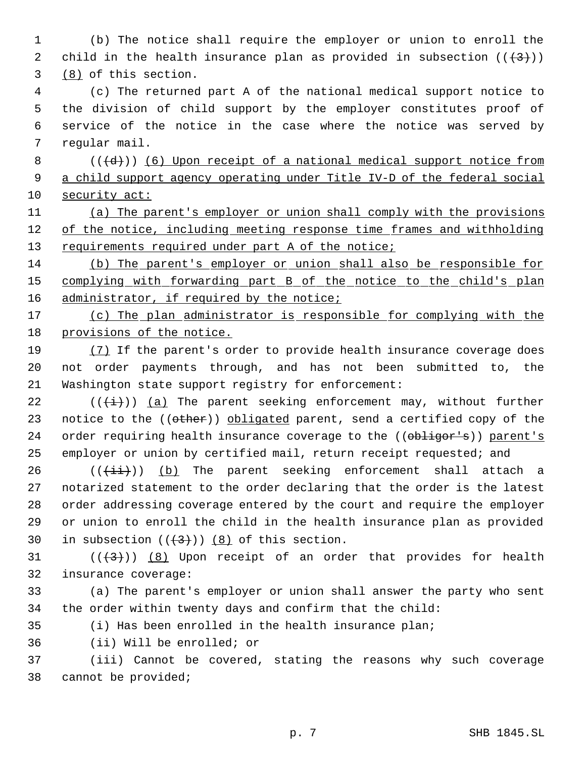(b) The notice shall require the employer or union to enroll the 2 child in the health insurance plan as provided in subsection  $((+3))$ (8) of this section.

 (c) The returned part A of the national medical support notice to the division of child support by the employer constitutes proof of service of the notice in the case where the notice was served by regular mail.

8  $((\{d\})$  (6) Upon receipt of a national medical support notice from 9 a child support agency operating under Title IV-D of the federal social security act:

 (a) The parent's employer or union shall comply with the provisions 12 of the notice, including meeting response time frames and withholding 13 requirements required under part A of the notice;

 (b) The parent's employer or union shall also be responsible for 15 complying with forwarding part B of the notice to the child's plan 16 administrator, if required by the notice;

17 (c) The plan administrator is responsible for complying with the provisions of the notice.

19 (7) If the parent's order to provide health insurance coverage does not order payments through, and has not been submitted to, the Washington state support registry for enforcement:

22 ( $(\frac{1}{1})$ ) (a) The parent seeking enforcement may, without further 23 notice to the ((other)) obligated parent, send a certified copy of the 24 order requiring health insurance coverage to the ((obligor's)) parent's employer or union by certified mail, return receipt requested; and

 (( $(i+i)$ ) (b) The parent seeking enforcement shall attach a notarized statement to the order declaring that the order is the latest order addressing coverage entered by the court and require the employer or union to enroll the child in the health insurance plan as provided 30 in subsection  $((+3))$   $(8)$  of this section.

31  $((\langle 3 \rangle)(8)$  Upon receipt of an order that provides for health insurance coverage:

 (a) The parent's employer or union shall answer the party who sent the order within twenty days and confirm that the child:

(i) Has been enrolled in the health insurance plan;

(ii) Will be enrolled; or

 (iii) Cannot be covered, stating the reasons why such coverage cannot be provided;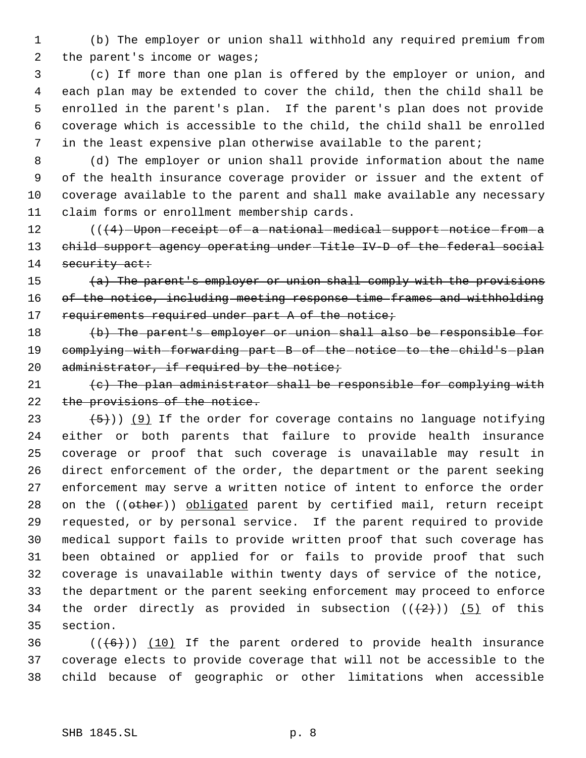(b) The employer or union shall withhold any required premium from 2 the parent's income or wages;

 (c) If more than one plan is offered by the employer or union, and each plan may be extended to cover the child, then the child shall be enrolled in the parent's plan. If the parent's plan does not provide coverage which is accessible to the child, the child shall be enrolled in the least expensive plan otherwise available to the parent;

 (d) The employer or union shall provide information about the name of the health insurance coverage provider or issuer and the extent of coverage available to the parent and shall make available any necessary claim forms or enrollment membership cards.

12 (( $(4)$ -Upon-receipt-of-a-national-medical-support-notice-from-a child support agency operating under Title IV-D of the federal social 14 security act:

15  $(a)$  The parent's employer or union shall comply with the provisions 16 of the notice, including meeting response time frames and withholding 17 requirements required under part A of the notice;

 (b) The parent's employer or union shall also be responsible for 19 complying with forwarding part B of the notice to the child's plan 20 administrator, if required by the notice;

21  $(e)$  The plan administrator shall be responsible for complying with 22 the provisions of the notice.

 $(5)$ )) (9) If the order for coverage contains no language notifying either or both parents that failure to provide health insurance coverage or proof that such coverage is unavailable may result in direct enforcement of the order, the department or the parent seeking enforcement may serve a written notice of intent to enforce the order 28 on the ((other)) obligated parent by certified mail, return receipt requested, or by personal service. If the parent required to provide medical support fails to provide written proof that such coverage has been obtained or applied for or fails to provide proof that such coverage is unavailable within twenty days of service of the notice, the department or the parent seeking enforcement may proceed to enforce 34 the order directly as provided in subsection  $((+2)^{n})$  (5) of this section.

36  $((\langle 6 \rangle) )$  (10) If the parent ordered to provide health insurance coverage elects to provide coverage that will not be accessible to the child because of geographic or other limitations when accessible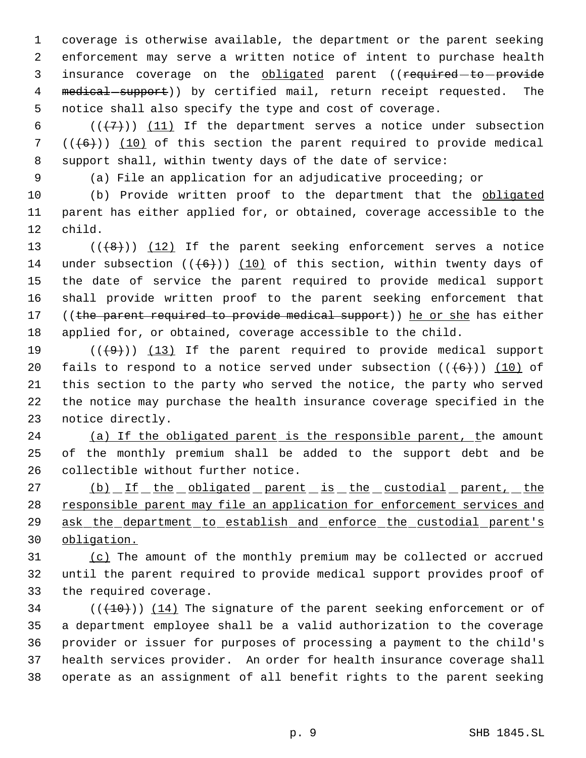coverage is otherwise available, the department or the parent seeking enforcement may serve a written notice of intent to purchase health 3 insurance coverage on the obligated parent ((required-to-provide 4 medical support)) by certified mail, return receipt requested. The notice shall also specify the type and cost of coverage.

6  $((+7))$   $(11)$  If the department serves a notice under subsection 7  $((+6))$  (10) of this section the parent required to provide medical support shall, within twenty days of the date of service:

(a) File an application for an adjudicative proceeding; or

 (b) Provide written proof to the department that the obligated parent has either applied for, or obtained, coverage accessible to the child.

 $((+8))$   $(12)$  If the parent seeking enforcement serves a notice 14 under subsection  $((6+))$  (10) of this section, within twenty days of the date of service the parent required to provide medical support shall provide written proof to the parent seeking enforcement that 17 ((the parent required to provide medical support)) he or she has either applied for, or obtained, coverage accessible to the child.

 $((+9))$   $(13)$  If the parent required to provide medical support 20 fails to respond to a notice served under subsection  $((+6))$  (10) of this section to the party who served the notice, the party who served the notice may purchase the health insurance coverage specified in the notice directly.

24 (a) If the obligated parent is the responsible parent, the amount of the monthly premium shall be added to the support debt and be collectible without further notice.

27 (b) If the obligated parent is the custodial parent, the 28 responsible parent may file an application for enforcement services and ask the department to establish and enforce the custodial parent's obligation.

31 (c) The amount of the monthly premium may be collected or accrued until the parent required to provide medical support provides proof of the required coverage.

 $((+10))$   $(14)$  The signature of the parent seeking enforcement or of a department employee shall be a valid authorization to the coverage provider or issuer for purposes of processing a payment to the child's health services provider. An order for health insurance coverage shall operate as an assignment of all benefit rights to the parent seeking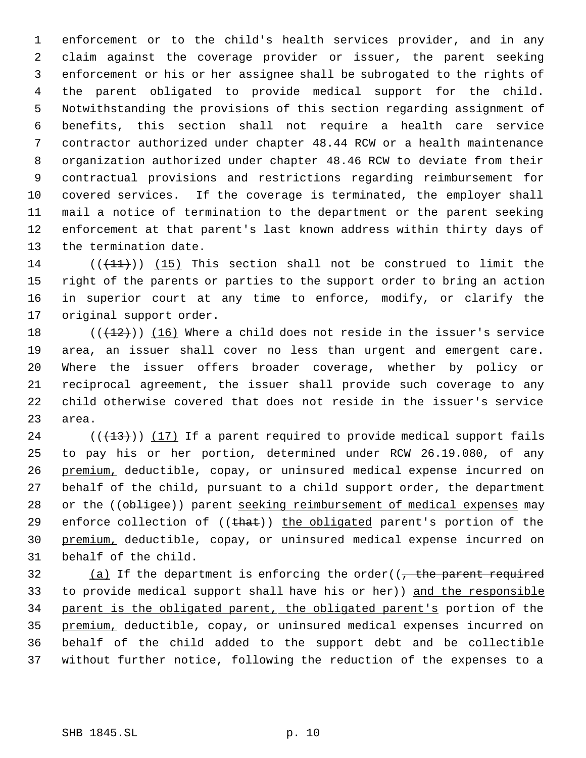enforcement or to the child's health services provider, and in any claim against the coverage provider or issuer, the parent seeking enforcement or his or her assignee shall be subrogated to the rights of the parent obligated to provide medical support for the child. Notwithstanding the provisions of this section regarding assignment of benefits, this section shall not require a health care service contractor authorized under chapter 48.44 RCW or a health maintenance organization authorized under chapter 48.46 RCW to deviate from their contractual provisions and restrictions regarding reimbursement for covered services. If the coverage is terminated, the employer shall mail a notice of termination to the department or the parent seeking enforcement at that parent's last known address within thirty days of the termination date.

14 ( $(\overline{(11)})$ ) (15) This section shall not be construed to limit the right of the parents or parties to the support order to bring an action in superior court at any time to enforce, modify, or clarify the original support order.

18 ( $(\frac{12}{12})$ ) (16) Where a child does not reside in the issuer's service area, an issuer shall cover no less than urgent and emergent care. Where the issuer offers broader coverage, whether by policy or reciprocal agreement, the issuer shall provide such coverage to any child otherwise covered that does not reside in the issuer's service area.

 (( $(13)$ )) (17) If a parent required to provide medical support fails to pay his or her portion, determined under RCW 26.19.080, of any premium, deductible, copay, or uninsured medical expense incurred on behalf of the child, pursuant to a child support order, the department 28 or the ((obligee)) parent seeking reimbursement of medical expenses may 29 enforce collection of  $((that))$  the obligated parent's portion of the premium, deductible, copay, or uninsured medical expense incurred on behalf of the child.

32 (a) If the department is enforcing the order( $\overline{t}$  the parent required to provide medical support shall have his or her)) and the responsible parent is the obligated parent, the obligated parent's portion of the premium, deductible, copay, or uninsured medical expenses incurred on behalf of the child added to the support debt and be collectible without further notice, following the reduction of the expenses to a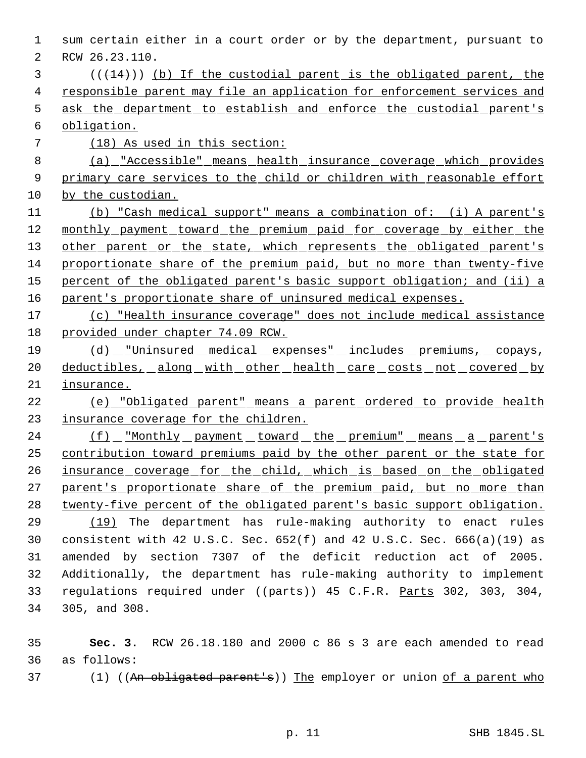sum certain either in a court order or by the department, pursuant to RCW 26.23.110. (( $(14)$ )) (b) If the custodial parent is the obligated parent, the 4 responsible parent may file an application for enforcement services and ask the department to establish and enforce the custodial parent's obligation. 7 (18) As used in this section: (a) "Accessible" means health insurance coverage which provides 9 primary care services to the child or children with reasonable effort by the custodian. (b) "Cash medical support" means a combination of: (i) A parent's 12 monthly payment toward the premium paid for coverage by either the 13 other parent or the state, which represents the obligated parent's proportionate share of the premium paid, but no more than twenty-five 15 percent of the obligated parent's basic support obligation; and (ii) a parent's proportionate share of uninsured medical expenses. (c) "Health insurance coverage" does not include medical assistance provided under chapter 74.09 RCW. (d) "Uninsured medical expenses" includes premiums, copays, 20 deductibles, along with other health care costs not covered by insurance. (e) "Obligated parent" means a parent ordered to provide health 23 insurance coverage for the children. 24 (f) "Monthly payment toward the premium" means a parent's contribution toward premiums paid by the other parent or the state for insurance coverage for the child, which is based on the obligated 27 parent's proportionate share of the premium paid, but no more than twenty-five percent of the obligated parent's basic support obligation. (19) The department has rule-making authority to enact rules consistent with 42 U.S.C. Sec. 652(f) and 42 U.S.C. Sec. 666(a)(19) as amended by section 7307 of the deficit reduction act of 2005. Additionally, the department has rule-making authority to implement 33 regulations required under ((parts)) 45 C.F.R. Parts 302, 303, 304, 305, and 308.

 **Sec. 3.** RCW 26.18.180 and 2000 c 86 s 3 are each amended to read as follows:

37 (1) ((An obligated parent's)) The employer or union of a parent who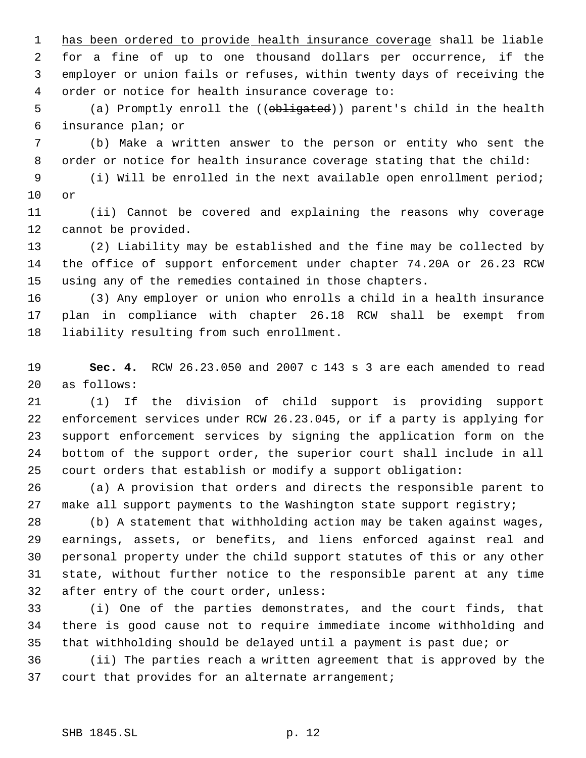has been ordered to provide health insurance coverage shall be liable for a fine of up to one thousand dollars per occurrence, if the employer or union fails or refuses, within twenty days of receiving the order or notice for health insurance coverage to:

5 (a) Promptly enroll the ((obligated)) parent's child in the health insurance plan; or

 (b) Make a written answer to the person or entity who sent the order or notice for health insurance coverage stating that the child:

 (i) Will be enrolled in the next available open enrollment period; or

 (ii) Cannot be covered and explaining the reasons why coverage cannot be provided.

 (2) Liability may be established and the fine may be collected by the office of support enforcement under chapter 74.20A or 26.23 RCW using any of the remedies contained in those chapters.

 (3) Any employer or union who enrolls a child in a health insurance plan in compliance with chapter 26.18 RCW shall be exempt from liability resulting from such enrollment.

 **Sec. 4.** RCW 26.23.050 and 2007 c 143 s 3 are each amended to read as follows:

 (1) If the division of child support is providing support enforcement services under RCW 26.23.045, or if a party is applying for support enforcement services by signing the application form on the bottom of the support order, the superior court shall include in all court orders that establish or modify a support obligation:

 (a) A provision that orders and directs the responsible parent to make all support payments to the Washington state support registry;

 (b) A statement that withholding action may be taken against wages, earnings, assets, or benefits, and liens enforced against real and personal property under the child support statutes of this or any other state, without further notice to the responsible parent at any time after entry of the court order, unless:

 (i) One of the parties demonstrates, and the court finds, that there is good cause not to require immediate income withholding and that withholding should be delayed until a payment is past due; or

 (ii) The parties reach a written agreement that is approved by the court that provides for an alternate arrangement;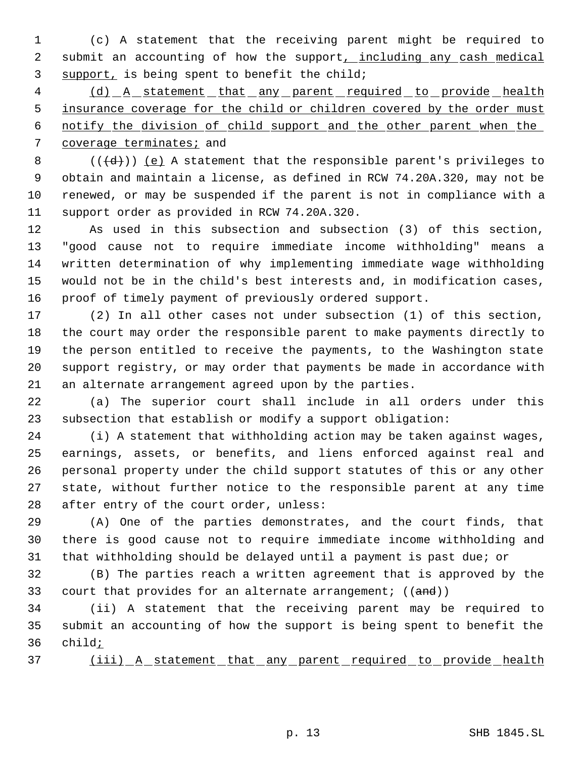(c) A statement that the receiving parent might be required to 2 submit an accounting of how the support, including any cash medical support, is being spent to benefit the child;

4 (d) A statement that any parent required to provide health 5 insurance coverage for the child or children covered by the order must notify the division of child support and the other parent when the coverage terminates; and

8 ( $(\overline{\{d\}})$ ) <u>(e)</u> A statement that the responsible parent's privileges to obtain and maintain a license, as defined in RCW 74.20A.320, may not be renewed, or may be suspended if the parent is not in compliance with a support order as provided in RCW 74.20A.320.

 As used in this subsection and subsection (3) of this section, "good cause not to require immediate income withholding" means a written determination of why implementing immediate wage withholding would not be in the child's best interests and, in modification cases, proof of timely payment of previously ordered support.

 (2) In all other cases not under subsection (1) of this section, the court may order the responsible parent to make payments directly to the person entitled to receive the payments, to the Washington state support registry, or may order that payments be made in accordance with an alternate arrangement agreed upon by the parties.

 (a) The superior court shall include in all orders under this subsection that establish or modify a support obligation:

 (i) A statement that withholding action may be taken against wages, earnings, assets, or benefits, and liens enforced against real and personal property under the child support statutes of this or any other state, without further notice to the responsible parent at any time after entry of the court order, unless:

 (A) One of the parties demonstrates, and the court finds, that there is good cause not to require immediate income withholding and that withholding should be delayed until a payment is past due; or

 (B) The parties reach a written agreement that is approved by the 33 court that provides for an alternate arrangement;  $((and))$ 

 (ii) A statement that the receiving parent may be required to submit an accounting of how the support is being spent to benefit the child;

37 (iii) A statement that any parent required to provide health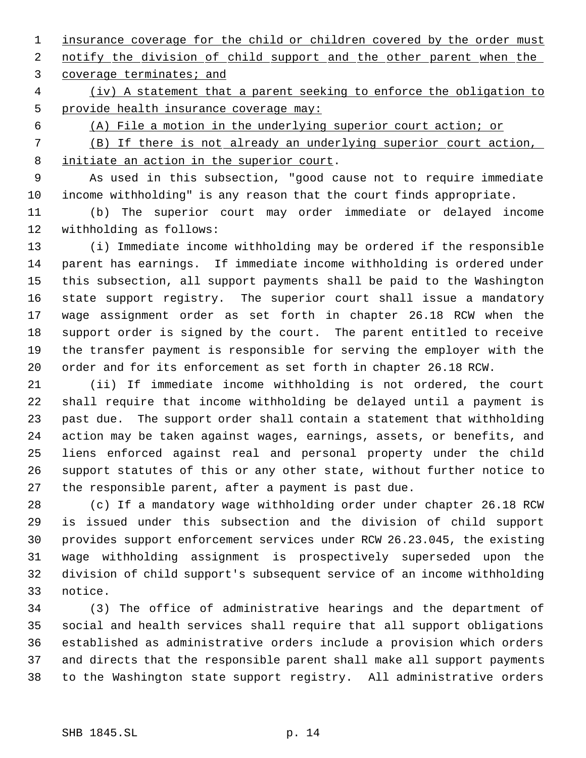1 insurance coverage for the child or children covered by the order must 2 notify the division of child support and the other parent when the coverage terminates; and

 (iv) A statement that a parent seeking to enforce the obligation to provide health insurance coverage may:

(A) File a motion in the underlying superior court action; or

 (B) If there is not already an underlying superior court action, initiate an action in the superior court.

 As used in this subsection, "good cause not to require immediate income withholding" is any reason that the court finds appropriate.

 (b) The superior court may order immediate or delayed income withholding as follows:

 (i) Immediate income withholding may be ordered if the responsible parent has earnings. If immediate income withholding is ordered under this subsection, all support payments shall be paid to the Washington state support registry. The superior court shall issue a mandatory wage assignment order as set forth in chapter 26.18 RCW when the support order is signed by the court. The parent entitled to receive the transfer payment is responsible for serving the employer with the order and for its enforcement as set forth in chapter 26.18 RCW.

 (ii) If immediate income withholding is not ordered, the court shall require that income withholding be delayed until a payment is past due. The support order shall contain a statement that withholding action may be taken against wages, earnings, assets, or benefits, and liens enforced against real and personal property under the child support statutes of this or any other state, without further notice to the responsible parent, after a payment is past due.

 (c) If a mandatory wage withholding order under chapter 26.18 RCW is issued under this subsection and the division of child support provides support enforcement services under RCW 26.23.045, the existing wage withholding assignment is prospectively superseded upon the division of child support's subsequent service of an income withholding notice.

 (3) The office of administrative hearings and the department of social and health services shall require that all support obligations established as administrative orders include a provision which orders and directs that the responsible parent shall make all support payments to the Washington state support registry. All administrative orders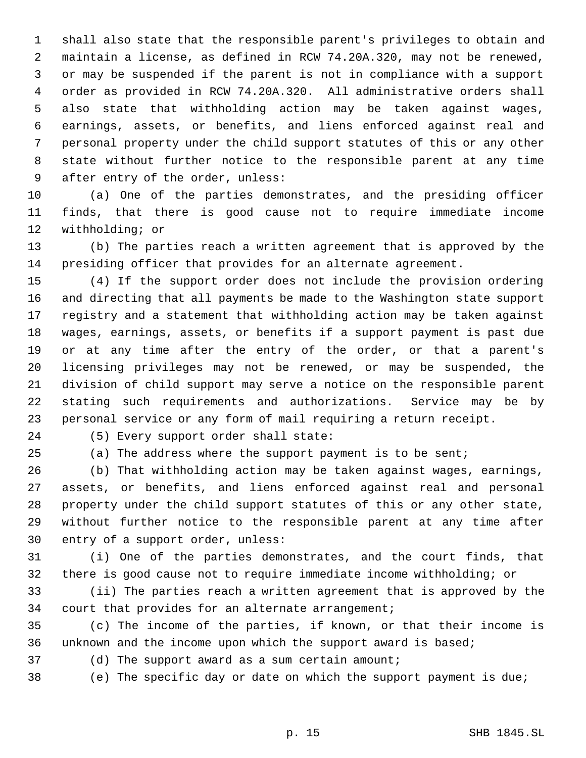shall also state that the responsible parent's privileges to obtain and maintain a license, as defined in RCW 74.20A.320, may not be renewed, or may be suspended if the parent is not in compliance with a support order as provided in RCW 74.20A.320. All administrative orders shall also state that withholding action may be taken against wages, earnings, assets, or benefits, and liens enforced against real and personal property under the child support statutes of this or any other state without further notice to the responsible parent at any time after entry of the order, unless:

 (a) One of the parties demonstrates, and the presiding officer finds, that there is good cause not to require immediate income withholding; or

 (b) The parties reach a written agreement that is approved by the presiding officer that provides for an alternate agreement.

 (4) If the support order does not include the provision ordering and directing that all payments be made to the Washington state support registry and a statement that withholding action may be taken against wages, earnings, assets, or benefits if a support payment is past due or at any time after the entry of the order, or that a parent's licensing privileges may not be renewed, or may be suspended, the division of child support may serve a notice on the responsible parent stating such requirements and authorizations. Service may be by personal service or any form of mail requiring a return receipt.

(5) Every support order shall state:

(a) The address where the support payment is to be sent;

 (b) That withholding action may be taken against wages, earnings, assets, or benefits, and liens enforced against real and personal property under the child support statutes of this or any other state, without further notice to the responsible parent at any time after entry of a support order, unless:

 (i) One of the parties demonstrates, and the court finds, that there is good cause not to require immediate income withholding; or

 (ii) The parties reach a written agreement that is approved by the court that provides for an alternate arrangement;

 (c) The income of the parties, if known, or that their income is unknown and the income upon which the support award is based;

(d) The support award as a sum certain amount;

(e) The specific day or date on which the support payment is due;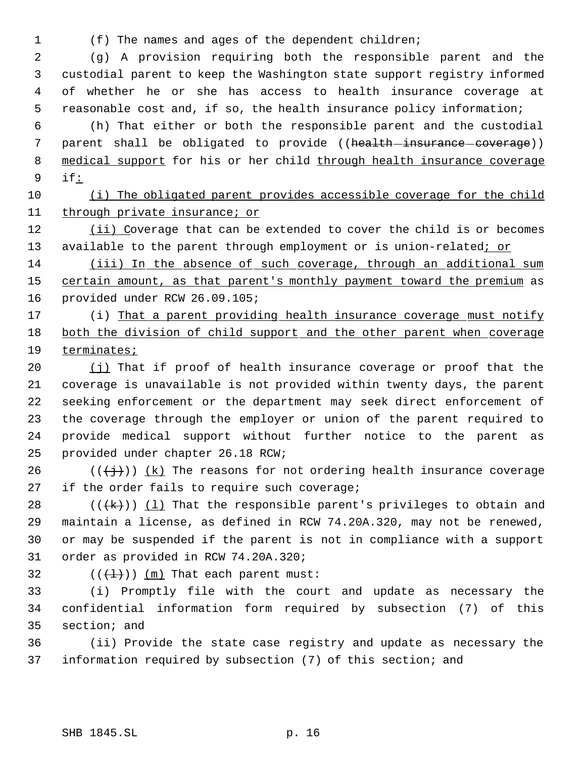(f) The names and ages of the dependent children;

 (g) A provision requiring both the responsible parent and the custodial parent to keep the Washington state support registry informed of whether he or she has access to health insurance coverage at reasonable cost and, if so, the health insurance policy information;

 (h) That either or both the responsible parent and the custodial 7 parent shall be obligated to provide ((health-insurance-coverage)) 8 medical support for his or her child through health insurance coverage if:

 (i) The obligated parent provides accessible coverage for the child through private insurance; or

 (ii) Coverage that can be extended to cover the child is or becomes 13 available to the parent through employment or is union-related; or

 (iii) In the absence of such coverage, through an additional sum 15 certain amount, as that parent's monthly payment toward the premium as provided under RCW 26.09.105;

17 (i) That a parent providing health insurance coverage must notify both the division of child support and the other parent when coverage terminates;

 (j) That if proof of health insurance coverage or proof that the coverage is unavailable is not provided within twenty days, the parent seeking enforcement or the department may seek direct enforcement of the coverage through the employer or union of the parent required to provide medical support without further notice to the parent as provided under chapter 26.18 RCW;

26 ( $(\frac{1}{2})$ ) (k) The reasons for not ordering health insurance coverage 27 if the order fails to require such coverage;

28 ( $(\frac{1}{k})$ ) (1) That the responsible parent's privileges to obtain and maintain a license, as defined in RCW 74.20A.320, may not be renewed, or may be suspended if the parent is not in compliance with a support order as provided in RCW 74.20A.320;

32  $((+1))$  (m) That each parent must:

 (i) Promptly file with the court and update as necessary the confidential information form required by subsection (7) of this section; and

 (ii) Provide the state case registry and update as necessary the information required by subsection (7) of this section; and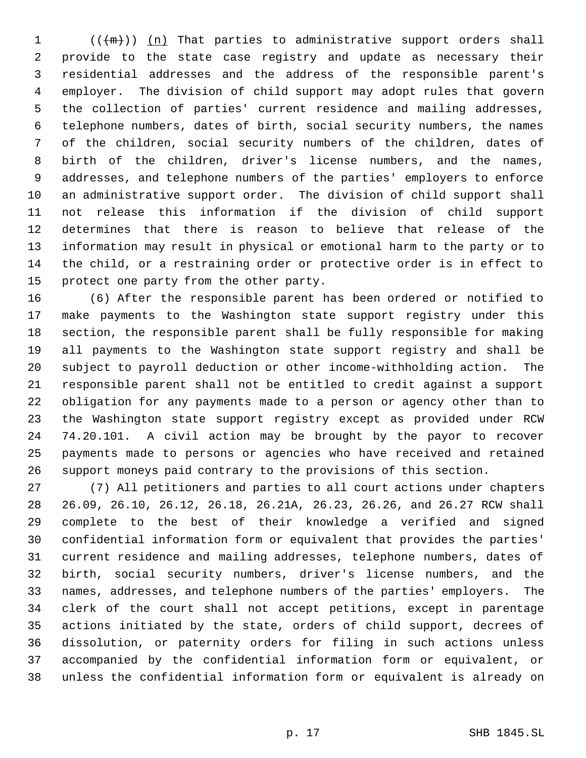$((+m))$   $(n)$  That parties to administrative support orders shall provide to the state case registry and update as necessary their residential addresses and the address of the responsible parent's employer. The division of child support may adopt rules that govern the collection of parties' current residence and mailing addresses, telephone numbers, dates of birth, social security numbers, the names of the children, social security numbers of the children, dates of birth of the children, driver's license numbers, and the names, addresses, and telephone numbers of the parties' employers to enforce an administrative support order. The division of child support shall not release this information if the division of child support determines that there is reason to believe that release of the information may result in physical or emotional harm to the party or to the child, or a restraining order or protective order is in effect to protect one party from the other party.

 (6) After the responsible parent has been ordered or notified to make payments to the Washington state support registry under this section, the responsible parent shall be fully responsible for making all payments to the Washington state support registry and shall be subject to payroll deduction or other income-withholding action. The responsible parent shall not be entitled to credit against a support obligation for any payments made to a person or agency other than to the Washington state support registry except as provided under RCW 74.20.101. A civil action may be brought by the payor to recover payments made to persons or agencies who have received and retained support moneys paid contrary to the provisions of this section.

 (7) All petitioners and parties to all court actions under chapters 26.09, 26.10, 26.12, 26.18, 26.21A, 26.23, 26.26, and 26.27 RCW shall complete to the best of their knowledge a verified and signed confidential information form or equivalent that provides the parties' current residence and mailing addresses, telephone numbers, dates of birth, social security numbers, driver's license numbers, and the names, addresses, and telephone numbers of the parties' employers. The clerk of the court shall not accept petitions, except in parentage actions initiated by the state, orders of child support, decrees of dissolution, or paternity orders for filing in such actions unless accompanied by the confidential information form or equivalent, or unless the confidential information form or equivalent is already on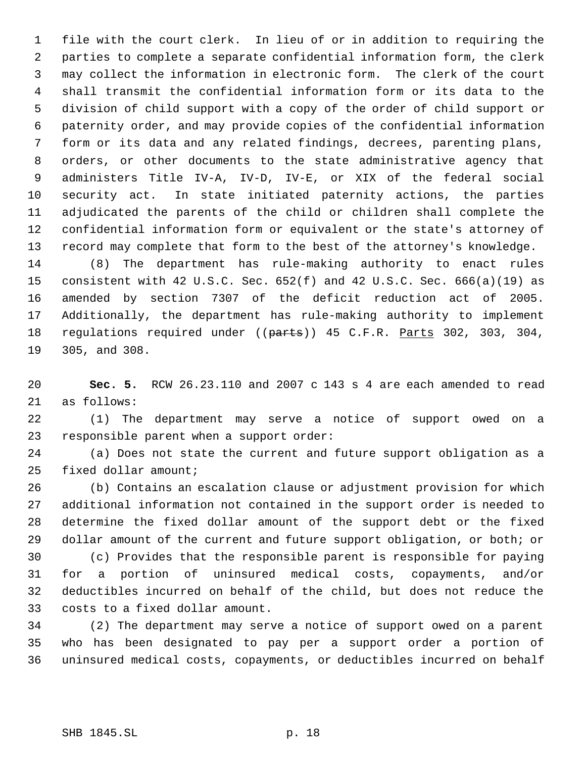file with the court clerk. In lieu of or in addition to requiring the parties to complete a separate confidential information form, the clerk may collect the information in electronic form. The clerk of the court shall transmit the confidential information form or its data to the division of child support with a copy of the order of child support or paternity order, and may provide copies of the confidential information form or its data and any related findings, decrees, parenting plans, orders, or other documents to the state administrative agency that administers Title IV-A, IV-D, IV-E, or XIX of the federal social security act. In state initiated paternity actions, the parties adjudicated the parents of the child or children shall complete the confidential information form or equivalent or the state's attorney of record may complete that form to the best of the attorney's knowledge.

 (8) The department has rule-making authority to enact rules consistent with 42 U.S.C. Sec. 652(f) and 42 U.S.C. Sec. 666(a)(19) as amended by section 7307 of the deficit reduction act of 2005. Additionally, the department has rule-making authority to implement 18 regulations required under ((parts)) 45 C.F.R. Parts 302, 303, 304, 305, and 308.

 **Sec. 5.** RCW 26.23.110 and 2007 c 143 s 4 are each amended to read as follows:

 (1) The department may serve a notice of support owed on a responsible parent when a support order:

 (a) Does not state the current and future support obligation as a fixed dollar amount;

 (b) Contains an escalation clause or adjustment provision for which additional information not contained in the support order is needed to determine the fixed dollar amount of the support debt or the fixed dollar amount of the current and future support obligation, or both; or

 (c) Provides that the responsible parent is responsible for paying for a portion of uninsured medical costs, copayments, and/or deductibles incurred on behalf of the child, but does not reduce the costs to a fixed dollar amount.

 (2) The department may serve a notice of support owed on a parent who has been designated to pay per a support order a portion of uninsured medical costs, copayments, or deductibles incurred on behalf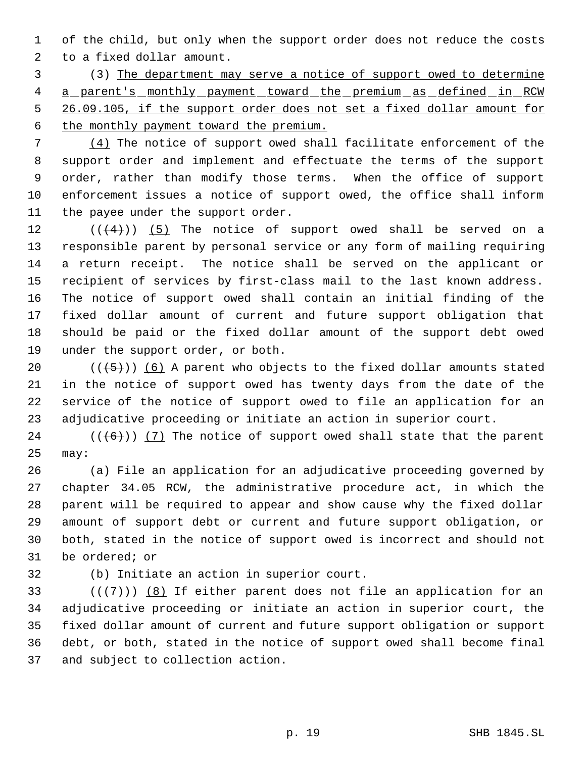of the child, but only when the support order does not reduce the costs to a fixed dollar amount.

 (3) The department may serve a notice of support owed to determine 4 a parent's monthly payment toward the premium as defined in RCW 26.09.105, if the support order does not set a fixed dollar amount for the monthly payment toward the premium.

 (4) The notice of support owed shall facilitate enforcement of the support order and implement and effectuate the terms of the support order, rather than modify those terms. When the office of support enforcement issues a notice of support owed, the office shall inform 11 the payee under the support order.

 $((\langle 4 \rangle) )$  (5) The notice of support owed shall be served on a responsible parent by personal service or any form of mailing requiring a return receipt. The notice shall be served on the applicant or recipient of services by first-class mail to the last known address. The notice of support owed shall contain an initial finding of the fixed dollar amount of current and future support obligation that should be paid or the fixed dollar amount of the support debt owed under the support order, or both.

 $((+5))$   $(6)$  A parent who objects to the fixed dollar amounts stated in the notice of support owed has twenty days from the date of the service of the notice of support owed to file an application for an adjudicative proceeding or initiate an action in superior court.

24  $((+6))$  (7) The notice of support owed shall state that the parent may:

 (a) File an application for an adjudicative proceeding governed by chapter 34.05 RCW, the administrative procedure act, in which the parent will be required to appear and show cause why the fixed dollar amount of support debt or current and future support obligation, or both, stated in the notice of support owed is incorrect and should not be ordered; or

(b) Initiate an action in superior court.

33 ( $(\overline{\langle 7 \rangle})$  (8) If either parent does not file an application for an adjudicative proceeding or initiate an action in superior court, the fixed dollar amount of current and future support obligation or support debt, or both, stated in the notice of support owed shall become final and subject to collection action.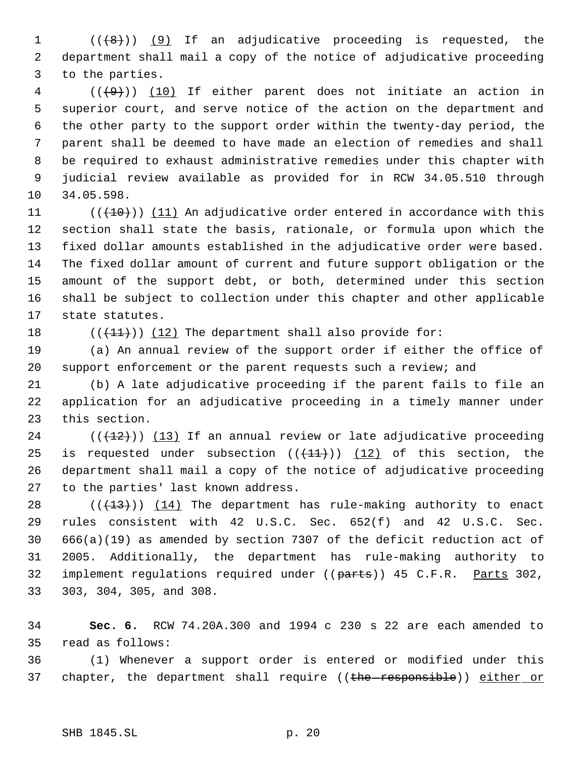$((\{8\})$  (9) If an adjudicative proceeding is requested, the department shall mail a copy of the notice of adjudicative proceeding to the parties.

 ( $(\overline{+9})$ ) (10) If either parent does not initiate an action in superior court, and serve notice of the action on the department and the other party to the support order within the twenty-day period, the parent shall be deemed to have made an election of remedies and shall be required to exhaust administrative remedies under this chapter with judicial review available as provided for in RCW 34.05.510 through 34.05.598.

 $((+10))$   $(11)$  An adjudicative order entered in accordance with this section shall state the basis, rationale, or formula upon which the fixed dollar amounts established in the adjudicative order were based. The fixed dollar amount of current and future support obligation or the amount of the support debt, or both, determined under this section shall be subject to collection under this chapter and other applicable state statutes.

18  $((+11))$   $(12)$  The department shall also provide for:

 (a) An annual review of the support order if either the office of support enforcement or the parent requests such a review; and

 (b) A late adjudicative proceeding if the parent fails to file an application for an adjudicative proceeding in a timely manner under this section.

 (( $(12)$ )) (13) If an annual review or late adjudicative proceeding 25 is requested under subsection  $((+11))$   $(12)$  of this section, the department shall mail a copy of the notice of adjudicative proceeding to the parties' last known address.

 $((+13))$   $(14)$  The department has rule-making authority to enact rules consistent with 42 U.S.C. Sec. 652(f) and 42 U.S.C. Sec. 666(a)(19) as amended by section 7307 of the deficit reduction act of 2005. Additionally, the department has rule-making authority to 32 implement regulations required under ((parts)) 45 C.F.R. Parts 302, 303, 304, 305, and 308.

 **Sec. 6.** RCW 74.20A.300 and 1994 c 230 s 22 are each amended to read as follows:

 (1) Whenever a support order is entered or modified under this 37 chapter, the department shall require ((the responsible)) either or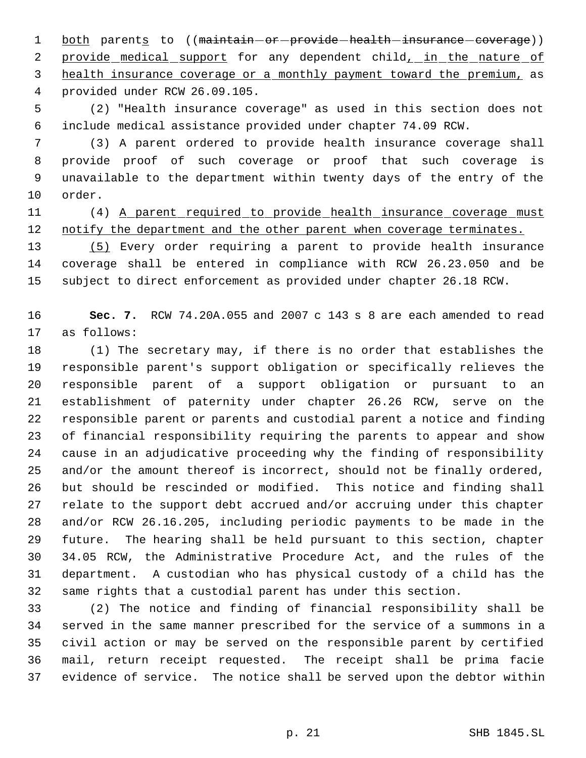1 both parents to ((maintain-or-provide-health-insurance-coverage)) 2 provide medical support for any dependent child, in the nature of health insurance coverage or a monthly payment toward the premium, as provided under RCW 26.09.105.

 (2) "Health insurance coverage" as used in this section does not include medical assistance provided under chapter 74.09 RCW.

 (3) A parent ordered to provide health insurance coverage shall provide proof of such coverage or proof that such coverage is unavailable to the department within twenty days of the entry of the order.

 (4) A parent required to provide health insurance coverage must 12 notify the department and the other parent when coverage terminates.

 (5) Every order requiring a parent to provide health insurance coverage shall be entered in compliance with RCW 26.23.050 and be subject to direct enforcement as provided under chapter 26.18 RCW.

 **Sec. 7.** RCW 74.20A.055 and 2007 c 143 s 8 are each amended to read as follows:

 (1) The secretary may, if there is no order that establishes the responsible parent's support obligation or specifically relieves the responsible parent of a support obligation or pursuant to an establishment of paternity under chapter 26.26 RCW, serve on the responsible parent or parents and custodial parent a notice and finding of financial responsibility requiring the parents to appear and show cause in an adjudicative proceeding why the finding of responsibility and/or the amount thereof is incorrect, should not be finally ordered, but should be rescinded or modified. This notice and finding shall relate to the support debt accrued and/or accruing under this chapter and/or RCW 26.16.205, including periodic payments to be made in the future. The hearing shall be held pursuant to this section, chapter 34.05 RCW, the Administrative Procedure Act, and the rules of the department. A custodian who has physical custody of a child has the same rights that a custodial parent has under this section.

 (2) The notice and finding of financial responsibility shall be served in the same manner prescribed for the service of a summons in a civil action or may be served on the responsible parent by certified mail, return receipt requested. The receipt shall be prima facie evidence of service. The notice shall be served upon the debtor within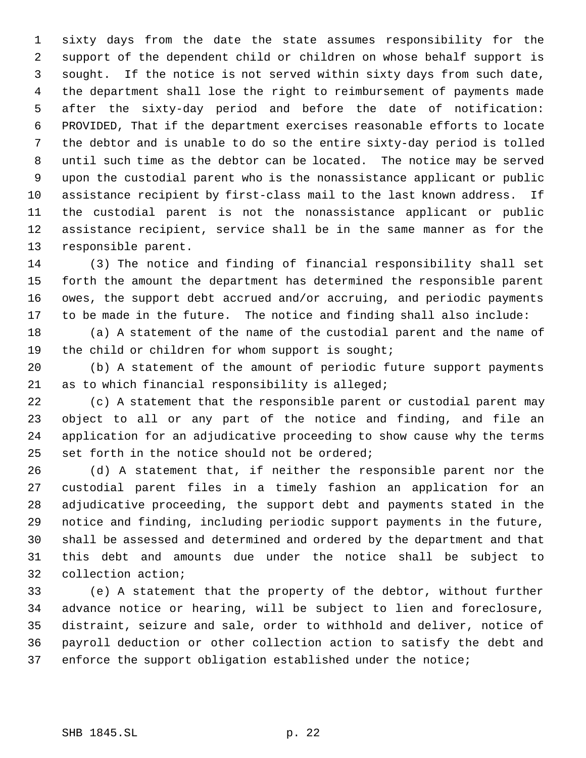sixty days from the date the state assumes responsibility for the support of the dependent child or children on whose behalf support is sought. If the notice is not served within sixty days from such date, the department shall lose the right to reimbursement of payments made after the sixty-day period and before the date of notification: PROVIDED, That if the department exercises reasonable efforts to locate the debtor and is unable to do so the entire sixty-day period is tolled until such time as the debtor can be located. The notice may be served upon the custodial parent who is the nonassistance applicant or public assistance recipient by first-class mail to the last known address. If the custodial parent is not the nonassistance applicant or public assistance recipient, service shall be in the same manner as for the responsible parent.

 (3) The notice and finding of financial responsibility shall set forth the amount the department has determined the responsible parent owes, the support debt accrued and/or accruing, and periodic payments to be made in the future. The notice and finding shall also include:

 (a) A statement of the name of the custodial parent and the name of the child or children for whom support is sought;

 (b) A statement of the amount of periodic future support payments as to which financial responsibility is alleged;

 (c) A statement that the responsible parent or custodial parent may object to all or any part of the notice and finding, and file an application for an adjudicative proceeding to show cause why the terms set forth in the notice should not be ordered;

 (d) A statement that, if neither the responsible parent nor the custodial parent files in a timely fashion an application for an adjudicative proceeding, the support debt and payments stated in the notice and finding, including periodic support payments in the future, shall be assessed and determined and ordered by the department and that this debt and amounts due under the notice shall be subject to collection action;

 (e) A statement that the property of the debtor, without further advance notice or hearing, will be subject to lien and foreclosure, distraint, seizure and sale, order to withhold and deliver, notice of payroll deduction or other collection action to satisfy the debt and enforce the support obligation established under the notice;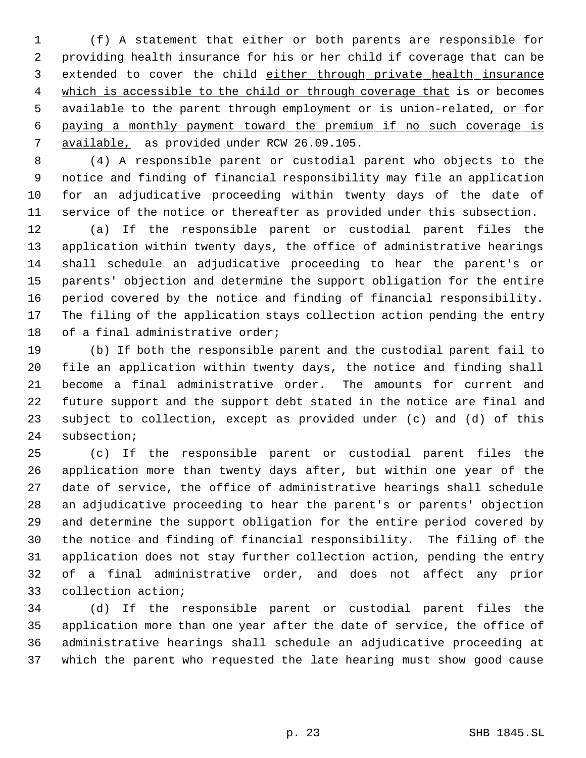(f) A statement that either or both parents are responsible for providing health insurance for his or her child if coverage that can be 3 extended to cover the child either through private health insurance 4 which is accessible to the child or through coverage that is or becomes 5 available to the parent through employment or is union-related, or for paying a monthly payment toward the premium if no such coverage is available, as provided under RCW 26.09.105.

 (4) A responsible parent or custodial parent who objects to the notice and finding of financial responsibility may file an application for an adjudicative proceeding within twenty days of the date of service of the notice or thereafter as provided under this subsection.

 (a) If the responsible parent or custodial parent files the application within twenty days, the office of administrative hearings shall schedule an adjudicative proceeding to hear the parent's or parents' objection and determine the support obligation for the entire period covered by the notice and finding of financial responsibility. The filing of the application stays collection action pending the entry 18 of a final administrative order;

 (b) If both the responsible parent and the custodial parent fail to file an application within twenty days, the notice and finding shall become a final administrative order. The amounts for current and future support and the support debt stated in the notice are final and subject to collection, except as provided under (c) and (d) of this subsection;

 (c) If the responsible parent or custodial parent files the application more than twenty days after, but within one year of the date of service, the office of administrative hearings shall schedule an adjudicative proceeding to hear the parent's or parents' objection and determine the support obligation for the entire period covered by the notice and finding of financial responsibility. The filing of the application does not stay further collection action, pending the entry of a final administrative order, and does not affect any prior collection action;

 (d) If the responsible parent or custodial parent files the application more than one year after the date of service, the office of administrative hearings shall schedule an adjudicative proceeding at which the parent who requested the late hearing must show good cause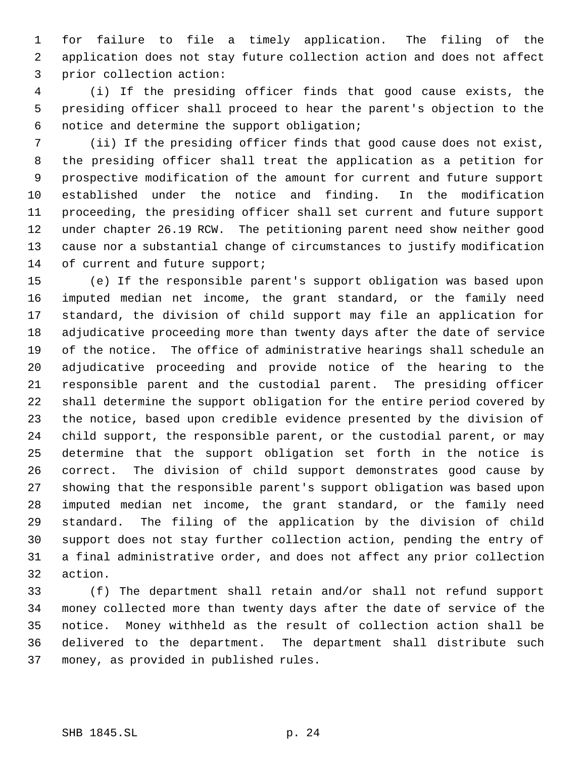for failure to file a timely application. The filing of the application does not stay future collection action and does not affect prior collection action:

 (i) If the presiding officer finds that good cause exists, the presiding officer shall proceed to hear the parent's objection to the notice and determine the support obligation;

 (ii) If the presiding officer finds that good cause does not exist, the presiding officer shall treat the application as a petition for prospective modification of the amount for current and future support established under the notice and finding. In the modification proceeding, the presiding officer shall set current and future support under chapter 26.19 RCW. The petitioning parent need show neither good cause nor a substantial change of circumstances to justify modification 14 of current and future support;

 (e) If the responsible parent's support obligation was based upon imputed median net income, the grant standard, or the family need standard, the division of child support may file an application for adjudicative proceeding more than twenty days after the date of service of the notice. The office of administrative hearings shall schedule an adjudicative proceeding and provide notice of the hearing to the responsible parent and the custodial parent. The presiding officer shall determine the support obligation for the entire period covered by the notice, based upon credible evidence presented by the division of child support, the responsible parent, or the custodial parent, or may determine that the support obligation set forth in the notice is correct. The division of child support demonstrates good cause by showing that the responsible parent's support obligation was based upon imputed median net income, the grant standard, or the family need standard. The filing of the application by the division of child support does not stay further collection action, pending the entry of a final administrative order, and does not affect any prior collection action.

 (f) The department shall retain and/or shall not refund support money collected more than twenty days after the date of service of the notice. Money withheld as the result of collection action shall be delivered to the department. The department shall distribute such money, as provided in published rules.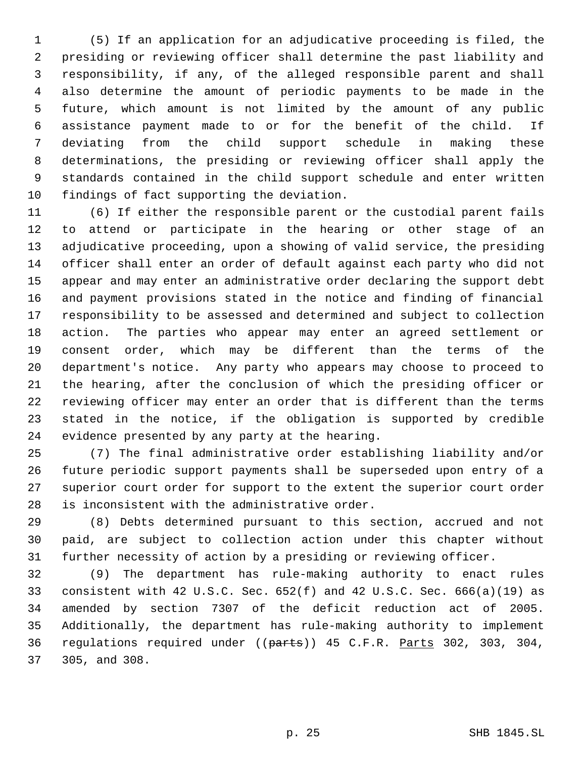(5) If an application for an adjudicative proceeding is filed, the presiding or reviewing officer shall determine the past liability and responsibility, if any, of the alleged responsible parent and shall also determine the amount of periodic payments to be made in the future, which amount is not limited by the amount of any public assistance payment made to or for the benefit of the child. If deviating from the child support schedule in making these determinations, the presiding or reviewing officer shall apply the standards contained in the child support schedule and enter written findings of fact supporting the deviation.

 (6) If either the responsible parent or the custodial parent fails to attend or participate in the hearing or other stage of an adjudicative proceeding, upon a showing of valid service, the presiding officer shall enter an order of default against each party who did not appear and may enter an administrative order declaring the support debt and payment provisions stated in the notice and finding of financial responsibility to be assessed and determined and subject to collection action. The parties who appear may enter an agreed settlement or consent order, which may be different than the terms of the department's notice. Any party who appears may choose to proceed to the hearing, after the conclusion of which the presiding officer or reviewing officer may enter an order that is different than the terms stated in the notice, if the obligation is supported by credible evidence presented by any party at the hearing.

 (7) The final administrative order establishing liability and/or future periodic support payments shall be superseded upon entry of a superior court order for support to the extent the superior court order is inconsistent with the administrative order.

 (8) Debts determined pursuant to this section, accrued and not paid, are subject to collection action under this chapter without further necessity of action by a presiding or reviewing officer.

 (9) The department has rule-making authority to enact rules consistent with 42 U.S.C. Sec. 652(f) and 42 U.S.C. Sec. 666(a)(19) as amended by section 7307 of the deficit reduction act of 2005. Additionally, the department has rule-making authority to implement 36 regulations required under ((parts)) 45 C.F.R. Parts 302, 303, 304, 305, and 308.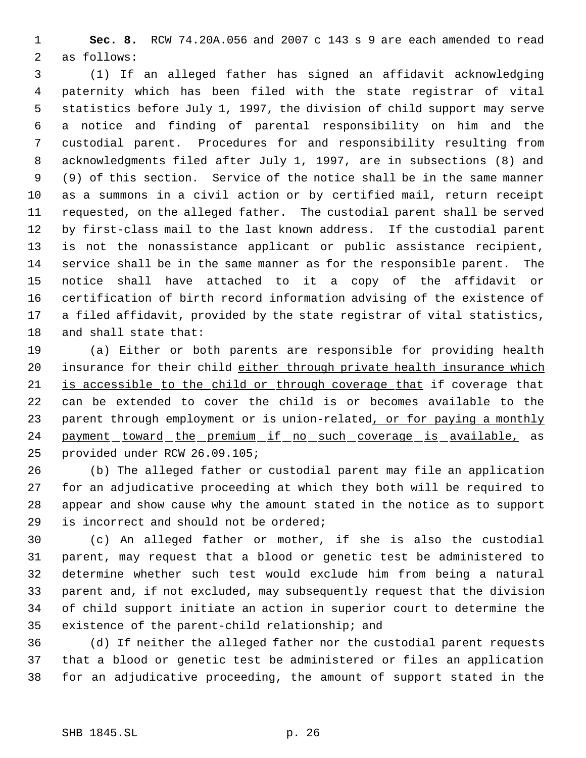**Sec. 8.** RCW 74.20A.056 and 2007 c 143 s 9 are each amended to read as follows:

 (1) If an alleged father has signed an affidavit acknowledging paternity which has been filed with the state registrar of vital statistics before July 1, 1997, the division of child support may serve a notice and finding of parental responsibility on him and the custodial parent. Procedures for and responsibility resulting from acknowledgments filed after July 1, 1997, are in subsections (8) and (9) of this section. Service of the notice shall be in the same manner as a summons in a civil action or by certified mail, return receipt requested, on the alleged father. The custodial parent shall be served by first-class mail to the last known address. If the custodial parent is not the nonassistance applicant or public assistance recipient, service shall be in the same manner as for the responsible parent. The notice shall have attached to it a copy of the affidavit or certification of birth record information advising of the existence of a filed affidavit, provided by the state registrar of vital statistics, and shall state that:

 (a) Either or both parents are responsible for providing health 20 insurance for their child either through private health insurance which 21 is accessible to the child or through coverage that if coverage that can be extended to cover the child is or becomes available to the 23 parent through employment or is union-related, or for paying a monthly 24 payment toward the premium if no such coverage is available, as provided under RCW 26.09.105;

 (b) The alleged father or custodial parent may file an application for an adjudicative proceeding at which they both will be required to appear and show cause why the amount stated in the notice as to support is incorrect and should not be ordered;

 (c) An alleged father or mother, if she is also the custodial parent, may request that a blood or genetic test be administered to determine whether such test would exclude him from being a natural parent and, if not excluded, may subsequently request that the division of child support initiate an action in superior court to determine the existence of the parent-child relationship; and

 (d) If neither the alleged father nor the custodial parent requests that a blood or genetic test be administered or files an application for an adjudicative proceeding, the amount of support stated in the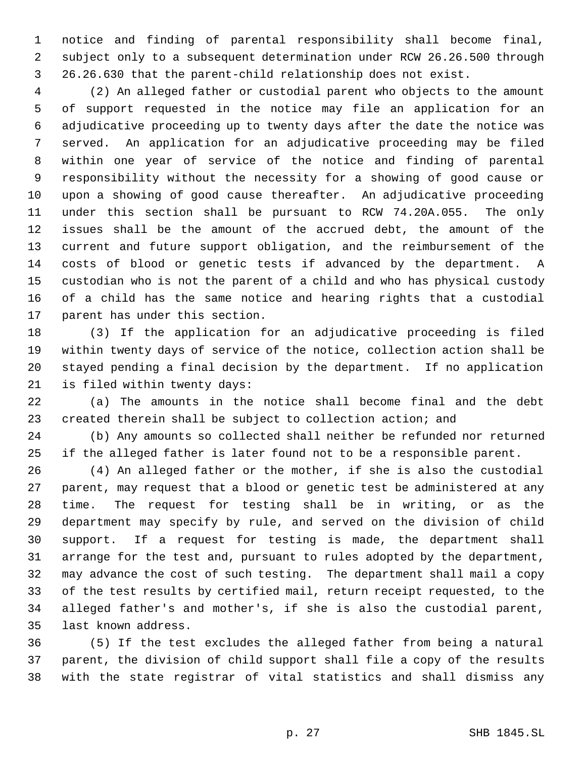notice and finding of parental responsibility shall become final, subject only to a subsequent determination under RCW 26.26.500 through 26.26.630 that the parent-child relationship does not exist.

 (2) An alleged father or custodial parent who objects to the amount of support requested in the notice may file an application for an adjudicative proceeding up to twenty days after the date the notice was served. An application for an adjudicative proceeding may be filed within one year of service of the notice and finding of parental responsibility without the necessity for a showing of good cause or upon a showing of good cause thereafter. An adjudicative proceeding under this section shall be pursuant to RCW 74.20A.055. The only issues shall be the amount of the accrued debt, the amount of the current and future support obligation, and the reimbursement of the costs of blood or genetic tests if advanced by the department. A custodian who is not the parent of a child and who has physical custody of a child has the same notice and hearing rights that a custodial parent has under this section.

 (3) If the application for an adjudicative proceeding is filed within twenty days of service of the notice, collection action shall be stayed pending a final decision by the department. If no application is filed within twenty days:

 (a) The amounts in the notice shall become final and the debt created therein shall be subject to collection action; and

 (b) Any amounts so collected shall neither be refunded nor returned if the alleged father is later found not to be a responsible parent.

 (4) An alleged father or the mother, if she is also the custodial parent, may request that a blood or genetic test be administered at any time. The request for testing shall be in writing, or as the department may specify by rule, and served on the division of child support. If a request for testing is made, the department shall arrange for the test and, pursuant to rules adopted by the department, may advance the cost of such testing. The department shall mail a copy of the test results by certified mail, return receipt requested, to the alleged father's and mother's, if she is also the custodial parent, last known address.

 (5) If the test excludes the alleged father from being a natural parent, the division of child support shall file a copy of the results with the state registrar of vital statistics and shall dismiss any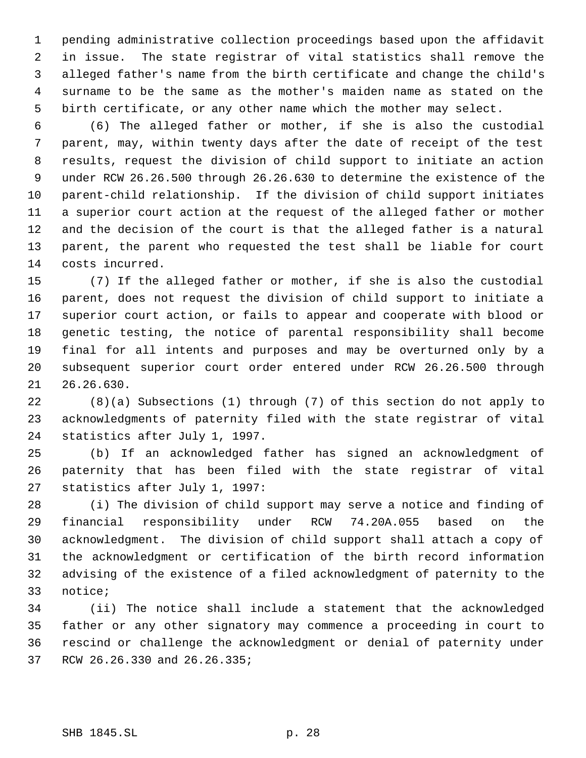pending administrative collection proceedings based upon the affidavit in issue. The state registrar of vital statistics shall remove the alleged father's name from the birth certificate and change the child's surname to be the same as the mother's maiden name as stated on the birth certificate, or any other name which the mother may select.

 (6) The alleged father or mother, if she is also the custodial parent, may, within twenty days after the date of receipt of the test results, request the division of child support to initiate an action under RCW 26.26.500 through 26.26.630 to determine the existence of the parent-child relationship. If the division of child support initiates a superior court action at the request of the alleged father or mother and the decision of the court is that the alleged father is a natural parent, the parent who requested the test shall be liable for court costs incurred.

 (7) If the alleged father or mother, if she is also the custodial parent, does not request the division of child support to initiate a superior court action, or fails to appear and cooperate with blood or genetic testing, the notice of parental responsibility shall become final for all intents and purposes and may be overturned only by a subsequent superior court order entered under RCW 26.26.500 through 26.26.630.

 (8)(a) Subsections (1) through (7) of this section do not apply to acknowledgments of paternity filed with the state registrar of vital statistics after July 1, 1997.

 (b) If an acknowledged father has signed an acknowledgment of paternity that has been filed with the state registrar of vital statistics after July 1, 1997:

 (i) The division of child support may serve a notice and finding of financial responsibility under RCW 74.20A.055 based on the acknowledgment. The division of child support shall attach a copy of the acknowledgment or certification of the birth record information advising of the existence of a filed acknowledgment of paternity to the notice;

 (ii) The notice shall include a statement that the acknowledged father or any other signatory may commence a proceeding in court to rescind or challenge the acknowledgment or denial of paternity under RCW 26.26.330 and 26.26.335;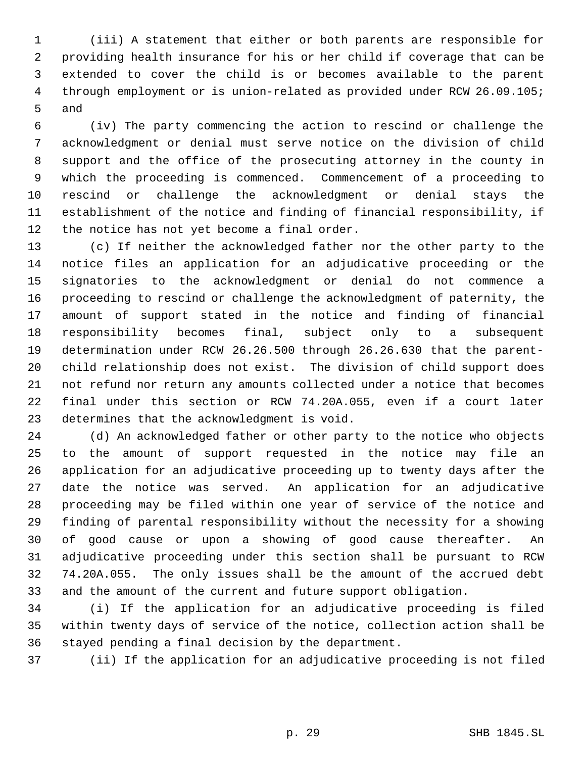(iii) A statement that either or both parents are responsible for providing health insurance for his or her child if coverage that can be extended to cover the child is or becomes available to the parent through employment or is union-related as provided under RCW 26.09.105; and

 (iv) The party commencing the action to rescind or challenge the acknowledgment or denial must serve notice on the division of child support and the office of the prosecuting attorney in the county in which the proceeding is commenced. Commencement of a proceeding to rescind or challenge the acknowledgment or denial stays the establishment of the notice and finding of financial responsibility, if the notice has not yet become a final order.

 (c) If neither the acknowledged father nor the other party to the notice files an application for an adjudicative proceeding or the signatories to the acknowledgment or denial do not commence a proceeding to rescind or challenge the acknowledgment of paternity, the amount of support stated in the notice and finding of financial responsibility becomes final, subject only to a subsequent determination under RCW 26.26.500 through 26.26.630 that the parent- child relationship does not exist. The division of child support does not refund nor return any amounts collected under a notice that becomes final under this section or RCW 74.20A.055, even if a court later determines that the acknowledgment is void.

 (d) An acknowledged father or other party to the notice who objects to the amount of support requested in the notice may file an application for an adjudicative proceeding up to twenty days after the date the notice was served. An application for an adjudicative proceeding may be filed within one year of service of the notice and finding of parental responsibility without the necessity for a showing of good cause or upon a showing of good cause thereafter. An adjudicative proceeding under this section shall be pursuant to RCW 74.20A.055. The only issues shall be the amount of the accrued debt and the amount of the current and future support obligation.

 (i) If the application for an adjudicative proceeding is filed within twenty days of service of the notice, collection action shall be stayed pending a final decision by the department.

(ii) If the application for an adjudicative proceeding is not filed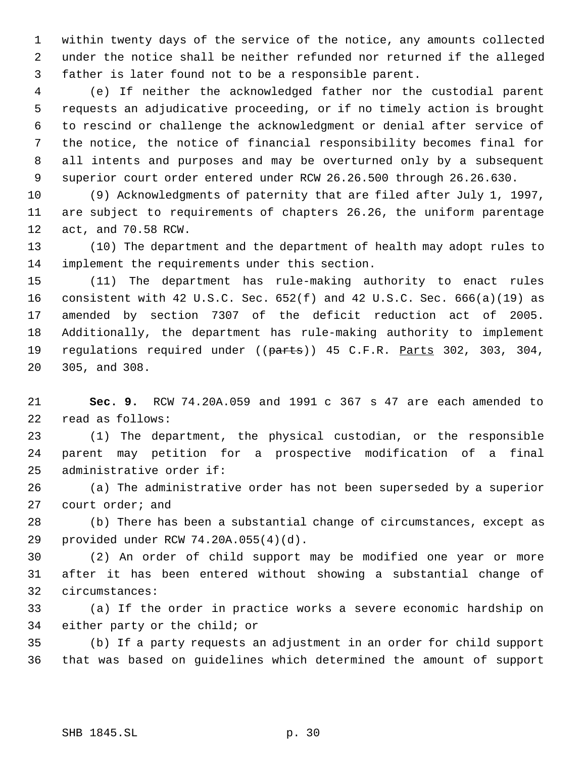within twenty days of the service of the notice, any amounts collected under the notice shall be neither refunded nor returned if the alleged father is later found not to be a responsible parent.

 (e) If neither the acknowledged father nor the custodial parent requests an adjudicative proceeding, or if no timely action is brought to rescind or challenge the acknowledgment or denial after service of the notice, the notice of financial responsibility becomes final for all intents and purposes and may be overturned only by a subsequent superior court order entered under RCW 26.26.500 through 26.26.630.

 (9) Acknowledgments of paternity that are filed after July 1, 1997, are subject to requirements of chapters 26.26, the uniform parentage act, and 70.58 RCW.

 (10) The department and the department of health may adopt rules to implement the requirements under this section.

 (11) The department has rule-making authority to enact rules consistent with 42 U.S.C. Sec. 652(f) and 42 U.S.C. Sec. 666(a)(19) as amended by section 7307 of the deficit reduction act of 2005. Additionally, the department has rule-making authority to implement 19 regulations required under ((parts)) 45 C.F.R. Parts 302, 303, 304, 305, and 308.

 **Sec. 9.** RCW 74.20A.059 and 1991 c 367 s 47 are each amended to read as follows:

 (1) The department, the physical custodian, or the responsible parent may petition for a prospective modification of a final administrative order if:

 (a) The administrative order has not been superseded by a superior court order; and

 (b) There has been a substantial change of circumstances, except as provided under RCW 74.20A.055(4)(d).

 (2) An order of child support may be modified one year or more after it has been entered without showing a substantial change of circumstances:

 (a) If the order in practice works a severe economic hardship on either party or the child; or

 (b) If a party requests an adjustment in an order for child support that was based on guidelines which determined the amount of support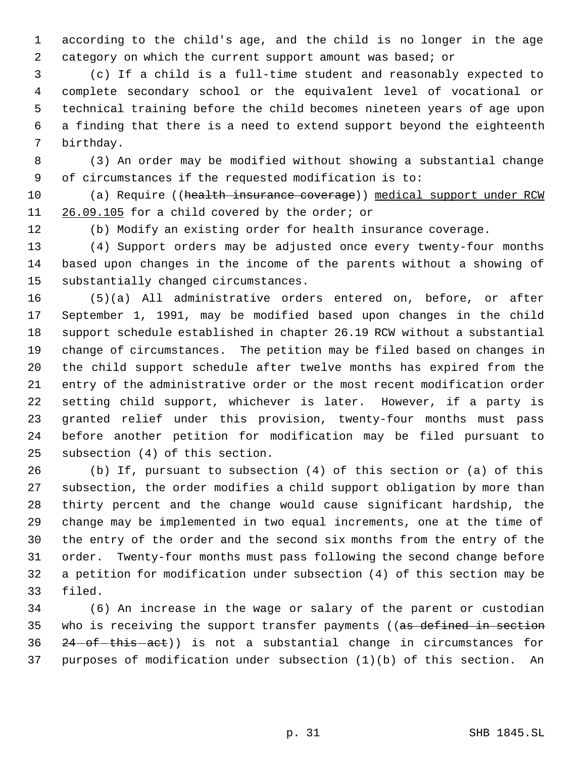according to the child's age, and the child is no longer in the age category on which the current support amount was based; or

 (c) If a child is a full-time student and reasonably expected to complete secondary school or the equivalent level of vocational or technical training before the child becomes nineteen years of age upon a finding that there is a need to extend support beyond the eighteenth birthday.

 (3) An order may be modified without showing a substantial change of circumstances if the requested modification is to:

10 (a) Require ((health insurance coverage)) medical support under RCW 11 26.09.105 for a child covered by the order; or

(b) Modify an existing order for health insurance coverage.

 (4) Support orders may be adjusted once every twenty-four months based upon changes in the income of the parents without a showing of substantially changed circumstances.

 (5)(a) All administrative orders entered on, before, or after September 1, 1991, may be modified based upon changes in the child support schedule established in chapter 26.19 RCW without a substantial change of circumstances. The petition may be filed based on changes in the child support schedule after twelve months has expired from the entry of the administrative order or the most recent modification order setting child support, whichever is later. However, if a party is granted relief under this provision, twenty-four months must pass before another petition for modification may be filed pursuant to subsection (4) of this section.

 (b) If, pursuant to subsection (4) of this section or (a) of this subsection, the order modifies a child support obligation by more than thirty percent and the change would cause significant hardship, the change may be implemented in two equal increments, one at the time of the entry of the order and the second six months from the entry of the order. Twenty-four months must pass following the second change before a petition for modification under subsection (4) of this section may be filed.

 (6) An increase in the wage or salary of the parent or custodian 35 who is receiving the support transfer payments ((as defined in section  $24$ -of-this-act)) is not a substantial change in circumstances for purposes of modification under subsection (1)(b) of this section. An